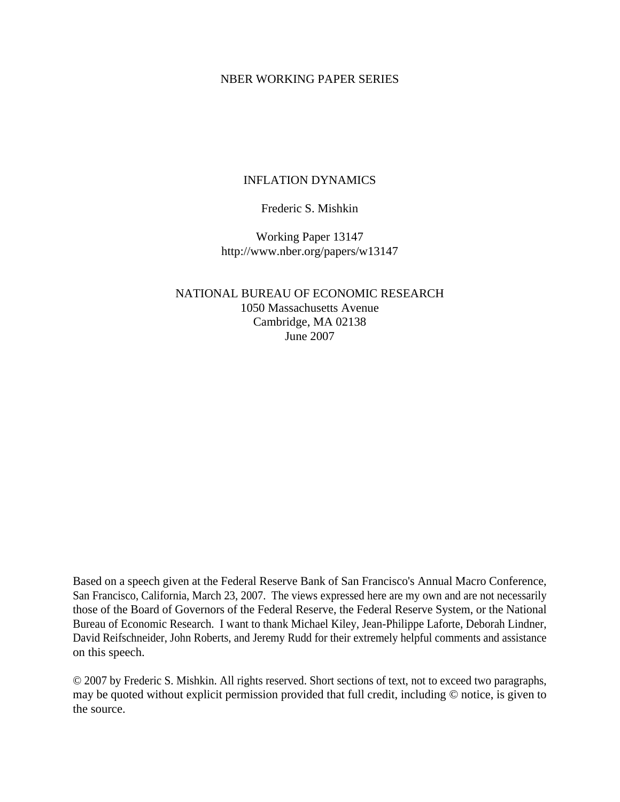### NBER WORKING PAPER SERIES

# INFLATION DYNAMICS

# Frederic S. Mishkin

Working Paper 13147 http://www.nber.org/papers/w13147

NATIONAL BUREAU OF ECONOMIC RESEARCH 1050 Massachusetts Avenue Cambridge, MA 02138 June 2007

Based on a speech given at the Federal Reserve Bank of San Francisco's Annual Macro Conference, San Francisco, California, March 23, 2007. The views expressed here are my own and are not necessarily those of the Board of Governors of the Federal Reserve, the Federal Reserve System, or the National Bureau of Economic Research. I want to thank Michael Kiley, Jean-Philippe Laforte, Deborah Lindner, David Reifschneider, John Roberts, and Jeremy Rudd for their extremely helpful comments and assistance on this speech.

© 2007 by Frederic S. Mishkin. All rights reserved. Short sections of text, not to exceed two paragraphs, may be quoted without explicit permission provided that full credit, including © notice, is given to the source.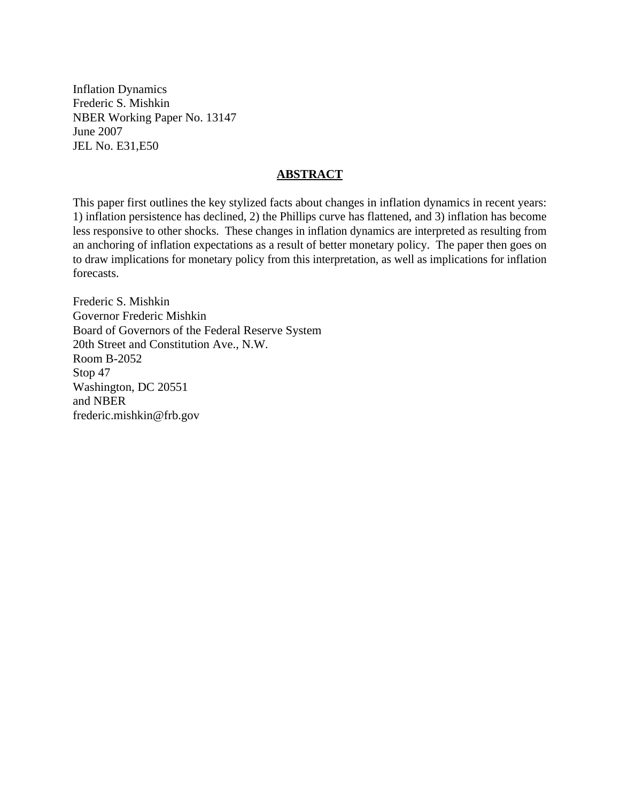Inflation Dynamics Frederic S. Mishkin NBER Working Paper No. 13147 June 2007 JEL No. E31,E50

# **ABSTRACT**

This paper first outlines the key stylized facts about changes in inflation dynamics in recent years: 1) inflation persistence has declined, 2) the Phillips curve has flattened, and 3) inflation has become less responsive to other shocks. These changes in inflation dynamics are interpreted as resulting from an anchoring of inflation expectations as a result of better monetary policy. The paper then goes on to draw implications for monetary policy from this interpretation, as well as implications for inflation forecasts.

Frederic S. Mishkin Governor Frederic Mishkin Board of Governors of the Federal Reserve System 20th Street and Constitution Ave., N.W. Room B-2052 Stop 47 Washington, DC 20551 and NBER frederic.mishkin@frb.gov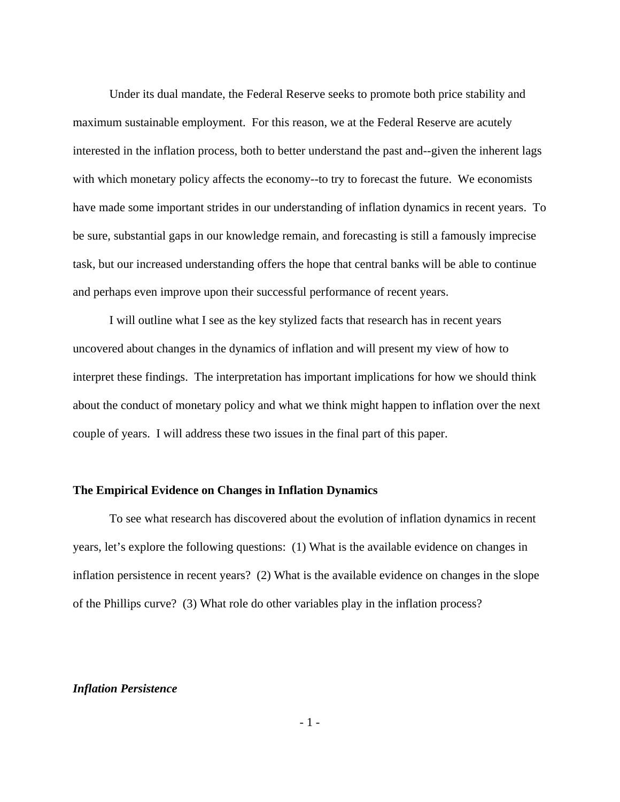Under its dual mandate, the Federal Reserve seeks to promote both price stability and maximum sustainable employment. For this reason, we at the Federal Reserve are acutely interested in the inflation process, both to better understand the past and--given the inherent lags with which monetary policy affects the economy--to try to forecast the future. We economists have made some important strides in our understanding of inflation dynamics in recent years. To be sure, substantial gaps in our knowledge remain, and forecasting is still a famously imprecise task, but our increased understanding offers the hope that central banks will be able to continue and perhaps even improve upon their successful performance of recent years.

I will outline what I see as the key stylized facts that research has in recent years uncovered about changes in the dynamics of inflation and will present my view of how to interpret these findings. The interpretation has important implications for how we should think about the conduct of monetary policy and what we think might happen to inflation over the next couple of years. I will address these two issues in the final part of this paper.

#### **The Empirical Evidence on Changes in Inflation Dynamics**

 To see what research has discovered about the evolution of inflation dynamics in recent years, let's explore the following questions: (1) What is the available evidence on changes in inflation persistence in recent years? (2) What is the available evidence on changes in the slope of the Phillips curve? (3) What role do other variables play in the inflation process?

### *Inflation Persistence*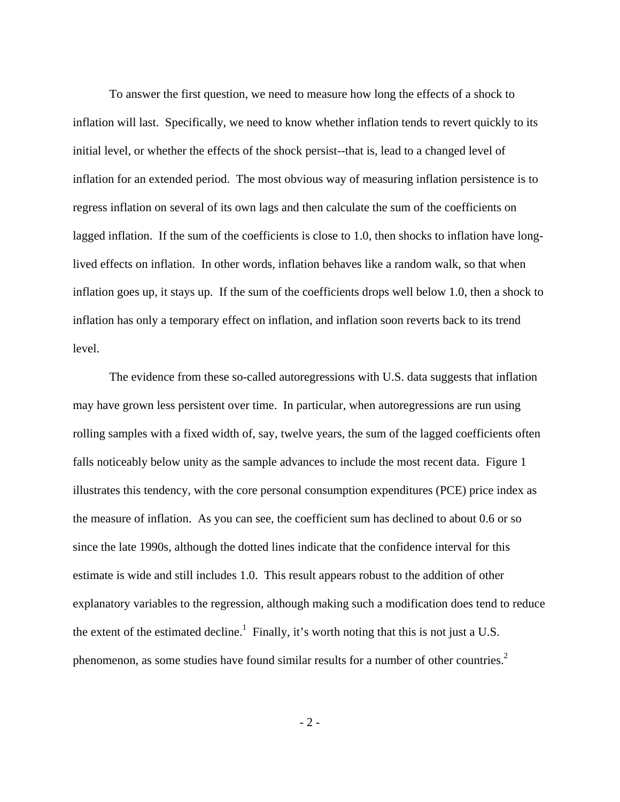To answer the first question, we need to measure how long the effects of a shock to inflation will last. Specifically, we need to know whether inflation tends to revert quickly to its initial level, or whether the effects of the shock persist--that is, lead to a changed level of inflation for an extended period. The most obvious way of measuring inflation persistence is to regress inflation on several of its own lags and then calculate the sum of the coefficients on lagged inflation. If the sum of the coefficients is close to 1.0, then shocks to inflation have longlived effects on inflation. In other words, inflation behaves like a random walk, so that when inflation goes up, it stays up. If the sum of the coefficients drops well below 1.0, then a shock to inflation has only a temporary effect on inflation, and inflation soon reverts back to its trend level.

The evidence from these so-called autoregressions with U.S. data suggests that inflation may have grown less persistent over time. In particular, when autoregressions are run using rolling samples with a fixed width of, say, twelve years, the sum of the lagged coefficients often falls noticeably below unity as the sample advances to include the most recent data. Figure 1 illustrates this tendency, with the core personal consumption expenditures (PCE) price index as the measure of inflation. As you can see, the coefficient sum has declined to about 0.6 or so since the late 1990s, although the dotted lines indicate that the confidence interval for this estimate is wide and still includes 1.0. This result appears robust to the addition of other explanatory variables to the regression, although making such a modification does tend to reduce the extent of the estimated decline.<sup>1</sup> Finally, it's worth noting that this is not just a U.S. phenomenon, as some studies have found similar results for a number of other countries.<sup>2</sup>

 $-2 -$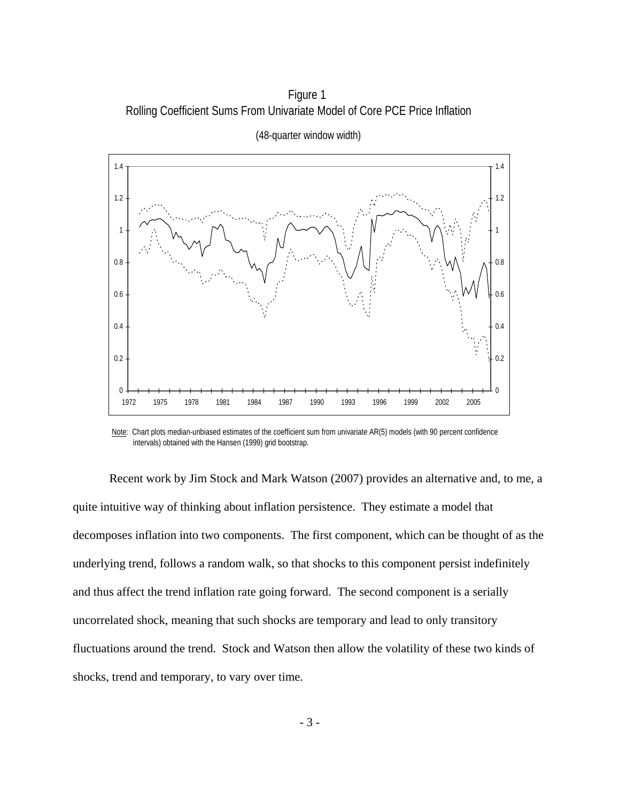Figure 1 Rolling Coefficient Sums From Univariate Model of Core PCE Price Inflation



(48-quarter window width)

Note: Chart plots median-unbiased estimates of the coefficient sum from univariate AR(5) models (with 90 percent confidence intervals) obtained with the Hansen (1999) grid bootstrap.

Recent work by Jim Stock and Mark Watson (2007) provides an alternative and, to me, a quite intuitive way of thinking about inflation persistence. They estimate a model that decomposes inflation into two components. The first component, which can be thought of as the underlying trend, follows a random walk, so that shocks to this component persist indefinitely and thus affect the trend inflation rate going forward. The second component is a serially uncorrelated shock, meaning that such shocks are temporary and lead to only transitory fluctuations around the trend. Stock and Watson then allow the volatility of these two kinds of shocks, trend and temporary, to vary over time.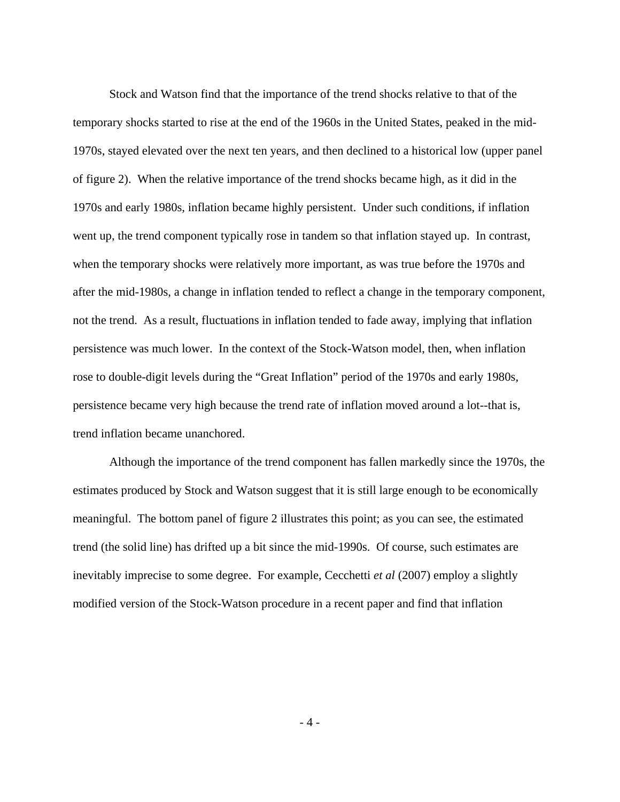Stock and Watson find that the importance of the trend shocks relative to that of the temporary shocks started to rise at the end of the 1960s in the United States, peaked in the mid-1970s, stayed elevated over the next ten years, and then declined to a historical low (upper panel of figure 2). When the relative importance of the trend shocks became high, as it did in the 1970s and early 1980s, inflation became highly persistent. Under such conditions, if inflation went up, the trend component typically rose in tandem so that inflation stayed up. In contrast, when the temporary shocks were relatively more important, as was true before the 1970s and after the mid-1980s, a change in inflation tended to reflect a change in the temporary component, not the trend. As a result, fluctuations in inflation tended to fade away, implying that inflation persistence was much lower. In the context of the Stock-Watson model, then, when inflation rose to double-digit levels during the "Great Inflation" period of the 1970s and early 1980s, persistence became very high because the trend rate of inflation moved around a lot--that is, trend inflation became unanchored.

Although the importance of the trend component has fallen markedly since the 1970s, the estimates produced by Stock and Watson suggest that it is still large enough to be economically meaningful. The bottom panel of figure 2 illustrates this point; as you can see, the estimated trend (the solid line) has drifted up a bit since the mid-1990s. Of course, such estimates are inevitably imprecise to some degree. For example, Cecchetti *et al* (2007) employ a slightly modified version of the Stock-Watson procedure in a recent paper and find that inflation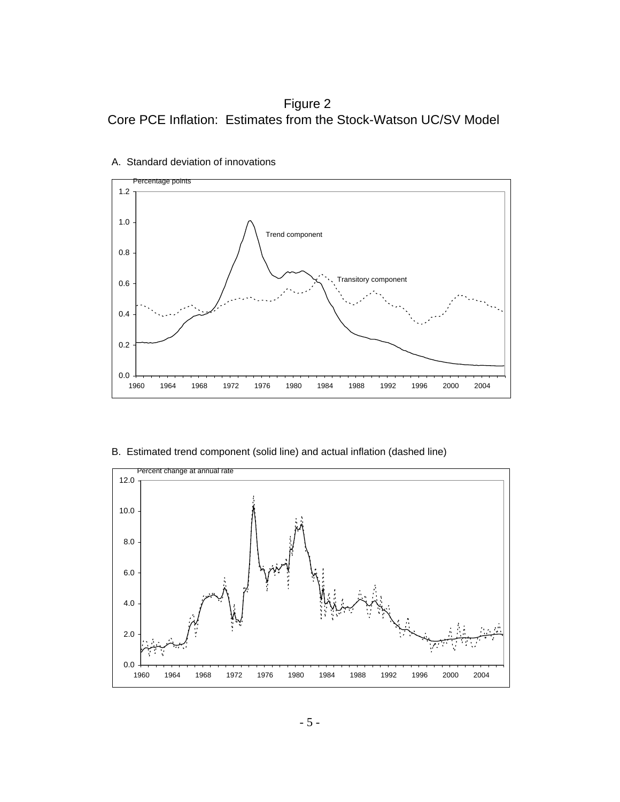Figure 2 Core PCE Inflation: Estimates from the Stock-Watson UC/SV Model



A. Standard deviation of innovations

B. Estimated trend component (solid line) and actual inflation (dashed line)

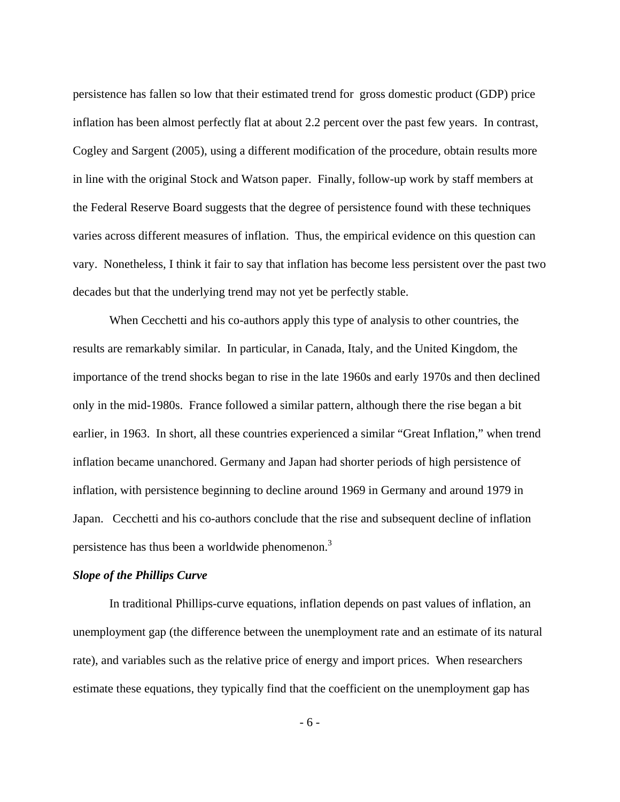persistence has fallen so low that their estimated trend for gross domestic product (GDP) price inflation has been almost perfectly flat at about 2.2 percent over the past few years. In contrast, Cogley and Sargent (2005), using a different modification of the procedure, obtain results more in line with the original Stock and Watson paper. Finally, follow-up work by staff members at the Federal Reserve Board suggests that the degree of persistence found with these techniques varies across different measures of inflation. Thus, the empirical evidence on this question can vary. Nonetheless, I think it fair to say that inflation has become less persistent over the past two decades but that the underlying trend may not yet be perfectly stable.

When Cecchetti and his co-authors apply this type of analysis to other countries, the results are remarkably similar. In particular, in Canada, Italy, and the United Kingdom, the importance of the trend shocks began to rise in the late 1960s and early 1970s and then declined only in the mid-1980s. France followed a similar pattern, although there the rise began a bit earlier, in 1963. In short, all these countries experienced a similar "Great Inflation," when trend inflation became unanchored. Germany and Japan had shorter periods of high persistence of inflation, with persistence beginning to decline around 1969 in Germany and around 1979 in Japan. Cecchetti and his co-authors conclude that the rise and subsequent decline of inflation persistence has thus been a worldwide phenomenon.<sup>3</sup>

### *Slope of the Phillips Curve*

 In traditional Phillips-curve equations, inflation depends on past values of inflation, an unemployment gap (the difference between the unemployment rate and an estimate of its natural rate), and variables such as the relative price of energy and import prices. When researchers estimate these equations, they typically find that the coefficient on the unemployment gap has

- 6 -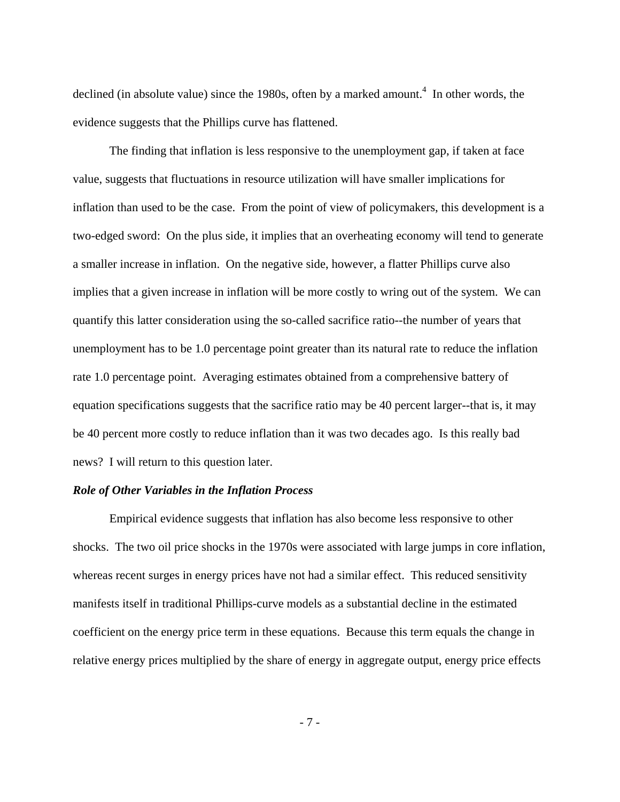declined (in absolute value) since the 1980s, often by a marked amount.<sup>4</sup> In other words, the evidence suggests that the Phillips curve has flattened.

The finding that inflation is less responsive to the unemployment gap, if taken at face value, suggests that fluctuations in resource utilization will have smaller implications for inflation than used to be the case. From the point of view of policymakers, this development is a two-edged sword: On the plus side, it implies that an overheating economy will tend to generate a smaller increase in inflation. On the negative side, however, a flatter Phillips curve also implies that a given increase in inflation will be more costly to wring out of the system. We can quantify this latter consideration using the so-called sacrifice ratio--the number of years that unemployment has to be 1.0 percentage point greater than its natural rate to reduce the inflation rate 1.0 percentage point. Averaging estimates obtained from a comprehensive battery of equation specifications suggests that the sacrifice ratio may be 40 percent larger--that is, it may be 40 percent more costly to reduce inflation than it was two decades ago. Is this really bad news? I will return to this question later.

# *Role of Other Variables in the Inflation Process*

 Empirical evidence suggests that inflation has also become less responsive to other shocks. The two oil price shocks in the 1970s were associated with large jumps in core inflation, whereas recent surges in energy prices have not had a similar effect. This reduced sensitivity manifests itself in traditional Phillips-curve models as a substantial decline in the estimated coefficient on the energy price term in these equations. Because this term equals the change in relative energy prices multiplied by the share of energy in aggregate output, energy price effects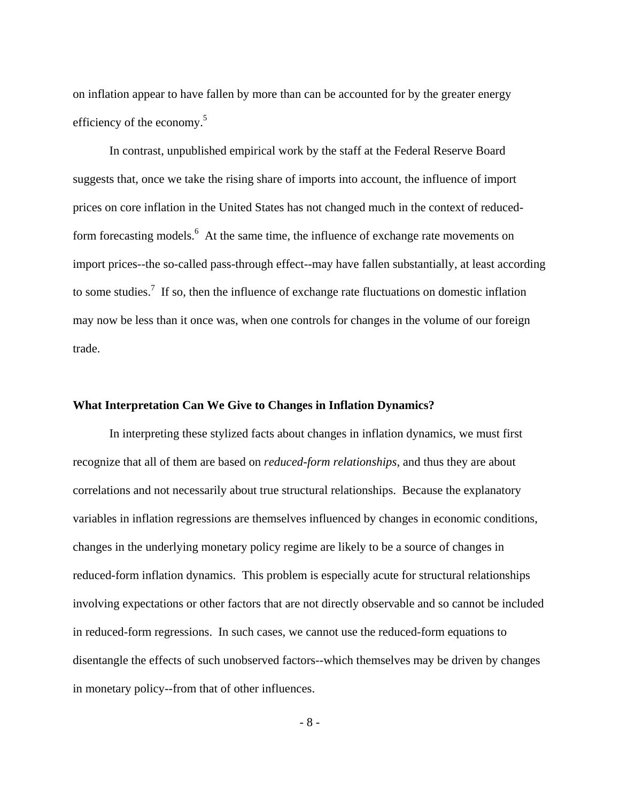on inflation appear to have fallen by more than can be accounted for by the greater energy efficiency of the economy. $5$ 

In contrast, unpublished empirical work by the staff at the Federal Reserve Board suggests that, once we take the rising share of imports into account, the influence of import prices on core inflation in the United States has not changed much in the context of reducedform forecasting models.<sup>6</sup> At the same time, the influence of exchange rate movements on import prices--the so-called pass-through effect--may have fallen substantially, at least according to some studies.<sup>7</sup> If so, then the influence of exchange rate fluctuations on domestic inflation may now be less than it once was, when one controls for changes in the volume of our foreign trade.

#### **What Interpretation Can We Give to Changes in Inflation Dynamics?**

 In interpreting these stylized facts about changes in inflation dynamics, we must first recognize that all of them are based on *reduced-form relationships*, and thus they are about correlations and not necessarily about true structural relationships. Because the explanatory variables in inflation regressions are themselves influenced by changes in economic conditions, changes in the underlying monetary policy regime are likely to be a source of changes in reduced-form inflation dynamics. This problem is especially acute for structural relationships involving expectations or other factors that are not directly observable and so cannot be included in reduced-form regressions. In such cases, we cannot use the reduced-form equations to disentangle the effects of such unobserved factors--which themselves may be driven by changes in monetary policy--from that of other influences.

- 8 -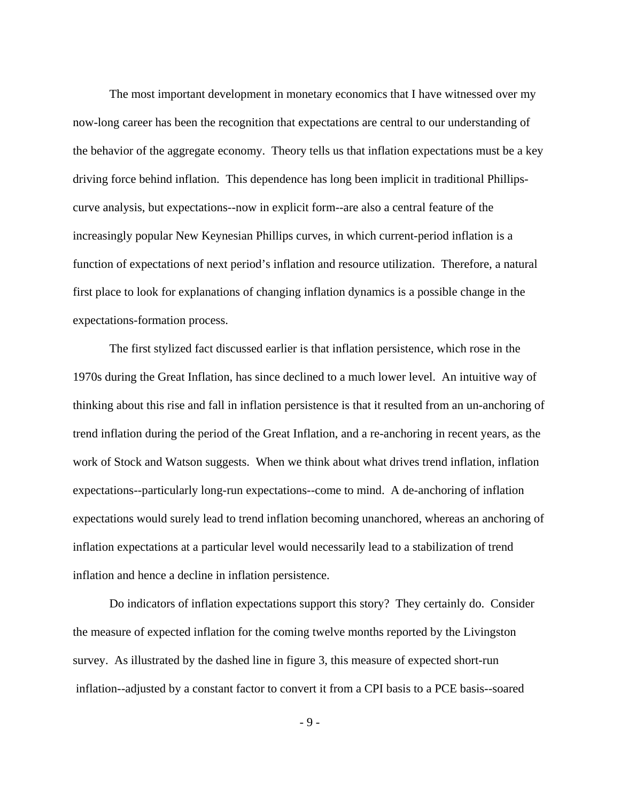The most important development in monetary economics that I have witnessed over my now-long career has been the recognition that expectations are central to our understanding of the behavior of the aggregate economy. Theory tells us that inflation expectations must be a key driving force behind inflation. This dependence has long been implicit in traditional Phillipscurve analysis, but expectations--now in explicit form--are also a central feature of the increasingly popular New Keynesian Phillips curves, in which current-period inflation is a function of expectations of next period's inflation and resource utilization. Therefore, a natural first place to look for explanations of changing inflation dynamics is a possible change in the expectations-formation process.

The first stylized fact discussed earlier is that inflation persistence, which rose in the 1970s during the Great Inflation, has since declined to a much lower level. An intuitive way of thinking about this rise and fall in inflation persistence is that it resulted from an un-anchoring of trend inflation during the period of the Great Inflation, and a re-anchoring in recent years, as the work of Stock and Watson suggests. When we think about what drives trend inflation, inflation expectations--particularly long-run expectations--come to mind. A de-anchoring of inflation expectations would surely lead to trend inflation becoming unanchored, whereas an anchoring of inflation expectations at a particular level would necessarily lead to a stabilization of trend inflation and hence a decline in inflation persistence.

Do indicators of inflation expectations support this story? They certainly do. Consider the measure of expected inflation for the coming twelve months reported by the Livingston survey. As illustrated by the dashed line in figure 3, this measure of expected short-run inflation--adjusted by a constant factor to convert it from a CPI basis to a PCE basis--soared

- 9 -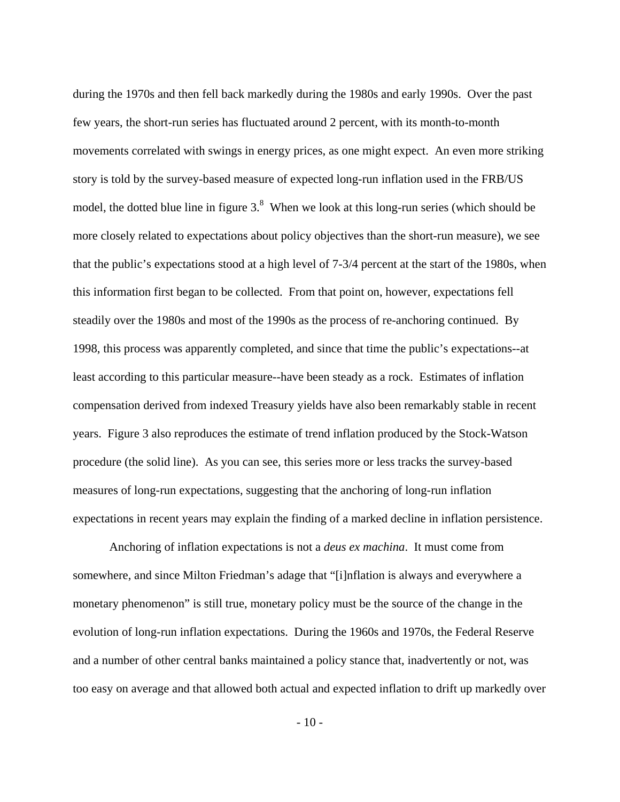during the 1970s and then fell back markedly during the 1980s and early 1990s. Over the past few years, the short-run series has fluctuated around 2 percent, with its month-to-month movements correlated with swings in energy prices, as one might expect. An even more striking story is told by the survey-based measure of expected long-run inflation used in the FRB/US model, the dotted blue line in figure  $3<sup>8</sup>$  When we look at this long-run series (which should be more closely related to expectations about policy objectives than the short-run measure), we see that the public's expectations stood at a high level of 7-3/4 percent at the start of the 1980s, when this information first began to be collected. From that point on, however, expectations fell steadily over the 1980s and most of the 1990s as the process of re-anchoring continued. By 1998, this process was apparently completed, and since that time the public's expectations--at least according to this particular measure--have been steady as a rock. Estimates of inflation compensation derived from indexed Treasury yields have also been remarkably stable in recent years. Figure 3 also reproduces the estimate of trend inflation produced by the Stock-Watson procedure (the solid line). As you can see, this series more or less tracks the survey-based measures of long-run expectations, suggesting that the anchoring of long-run inflation expectations in recent years may explain the finding of a marked decline in inflation persistence.

Anchoring of inflation expectations is not a *deus ex machina*. It must come from somewhere, and since Milton Friedman's adage that "[i]nflation is always and everywhere a monetary phenomenon" is still true, monetary policy must be the source of the change in the evolution of long-run inflation expectations. During the 1960s and 1970s, the Federal Reserve and a number of other central banks maintained a policy stance that, inadvertently or not, was too easy on average and that allowed both actual and expected inflation to drift up markedly over

 $-10-$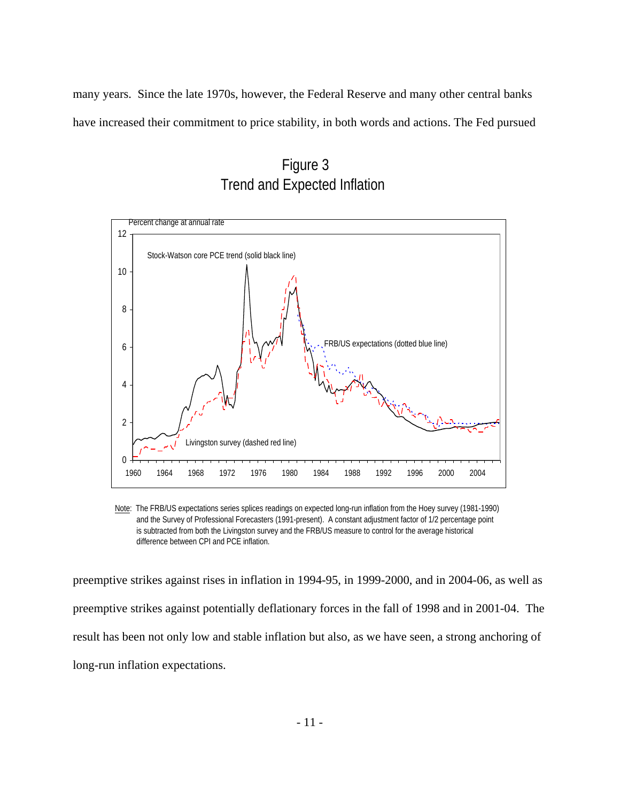many years. Since the late 1970s, however, the Federal Reserve and many other central banks have increased their commitment to price stability, in both words and actions. The Fed pursued

 Figure 3 Trend and Expected Inflation



 Note: The FRB/US expectations series splices readings on expected long-run inflation from the Hoey survey (1981-1990) and the Survey of Professional Forecasters (1991-present). A constant adjustment factor of 1/2 percentage point is subtracted from both the Livingston survey and the FRB/US measure to control for the average historical difference between CPI and PCE inflation.

preemptive strikes against rises in inflation in 1994-95, in 1999-2000, and in 2004-06, as well as preemptive strikes against potentially deflationary forces in the fall of 1998 and in 2001-04. The result has been not only low and stable inflation but also, as we have seen, a strong anchoring of long-run inflation expectations.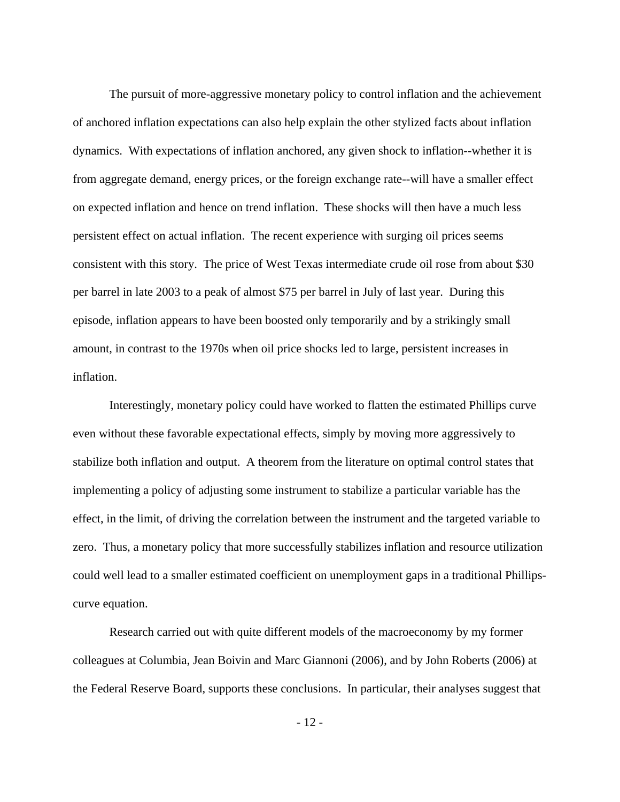The pursuit of more-aggressive monetary policy to control inflation and the achievement of anchored inflation expectations can also help explain the other stylized facts about inflation dynamics. With expectations of inflation anchored, any given shock to inflation--whether it is from aggregate demand, energy prices, or the foreign exchange rate--will have a smaller effect on expected inflation and hence on trend inflation. These shocks will then have a much less persistent effect on actual inflation. The recent experience with surging oil prices seems consistent with this story. The price of West Texas intermediate crude oil rose from about \$30 per barrel in late 2003 to a peak of almost \$75 per barrel in July of last year. During this episode, inflation appears to have been boosted only temporarily and by a strikingly small amount, in contrast to the 1970s when oil price shocks led to large, persistent increases in inflation.

Interestingly, monetary policy could have worked to flatten the estimated Phillips curve even without these favorable expectational effects, simply by moving more aggressively to stabilize both inflation and output. A theorem from the literature on optimal control states that implementing a policy of adjusting some instrument to stabilize a particular variable has the effect, in the limit, of driving the correlation between the instrument and the targeted variable to zero. Thus, a monetary policy that more successfully stabilizes inflation and resource utilization could well lead to a smaller estimated coefficient on unemployment gaps in a traditional Phillipscurve equation.

Research carried out with quite different models of the macroeconomy by my former colleagues at Columbia, Jean Boivin and Marc Giannoni (2006), and by John Roberts (2006) at the Federal Reserve Board, supports these conclusions. In particular, their analyses suggest that

 $-12-$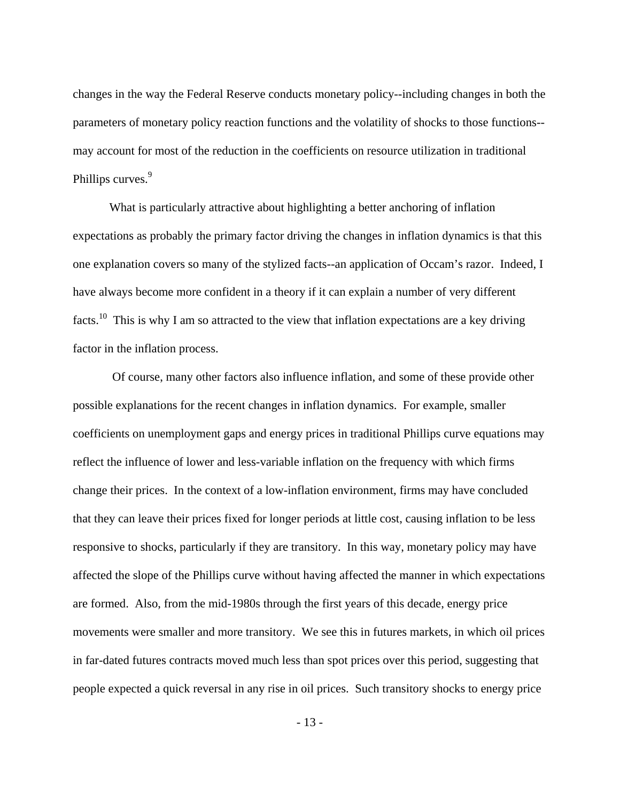changes in the way the Federal Reserve conducts monetary policy--including changes in both the parameters of monetary policy reaction functions and the volatility of shocks to those functions- may account for most of the reduction in the coefficients on resource utilization in traditional Phillips curves.<sup>9</sup>

What is particularly attractive about highlighting a better anchoring of inflation expectations as probably the primary factor driving the changes in inflation dynamics is that this one explanation covers so many of the stylized facts--an application of Occam's razor. Indeed, I have always become more confident in a theory if it can explain a number of very different facts.10 This is why I am so attracted to the view that inflation expectations are a key driving factor in the inflation process.

 Of course, many other factors also influence inflation, and some of these provide other possible explanations for the recent changes in inflation dynamics. For example, smaller coefficients on unemployment gaps and energy prices in traditional Phillips curve equations may reflect the influence of lower and less-variable inflation on the frequency with which firms change their prices. In the context of a low-inflation environment, firms may have concluded that they can leave their prices fixed for longer periods at little cost, causing inflation to be less responsive to shocks, particularly if they are transitory. In this way, monetary policy may have affected the slope of the Phillips curve without having affected the manner in which expectations are formed. Also, from the mid-1980s through the first years of this decade, energy price movements were smaller and more transitory. We see this in futures markets, in which oil prices in far-dated futures contracts moved much less than spot prices over this period, suggesting that people expected a quick reversal in any rise in oil prices. Such transitory shocks to energy price

- 13 -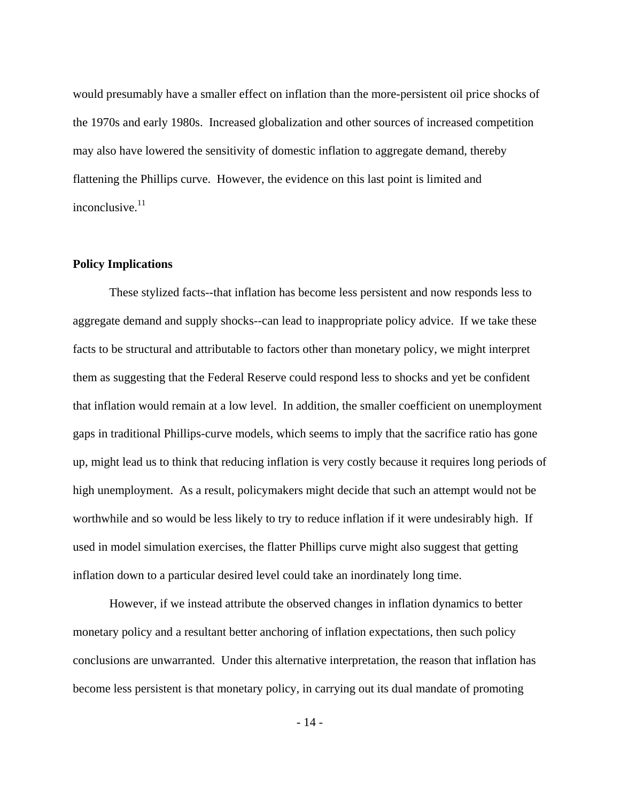would presumably have a smaller effect on inflation than the more-persistent oil price shocks of the 1970s and early 1980s. Increased globalization and other sources of increased competition may also have lowered the sensitivity of domestic inflation to aggregate demand, thereby flattening the Phillips curve. However, the evidence on this last point is limited and inconclusive. $11$ 

#### **Policy Implications**

 These stylized facts--that inflation has become less persistent and now responds less to aggregate demand and supply shocks--can lead to inappropriate policy advice. If we take these facts to be structural and attributable to factors other than monetary policy, we might interpret them as suggesting that the Federal Reserve could respond less to shocks and yet be confident that inflation would remain at a low level. In addition, the smaller coefficient on unemployment gaps in traditional Phillips-curve models, which seems to imply that the sacrifice ratio has gone up, might lead us to think that reducing inflation is very costly because it requires long periods of high unemployment. As a result, policymakers might decide that such an attempt would not be worthwhile and so would be less likely to try to reduce inflation if it were undesirably high. If used in model simulation exercises, the flatter Phillips curve might also suggest that getting inflation down to a particular desired level could take an inordinately long time.

However, if we instead attribute the observed changes in inflation dynamics to better monetary policy and a resultant better anchoring of inflation expectations, then such policy conclusions are unwarranted. Under this alternative interpretation, the reason that inflation has become less persistent is that monetary policy, in carrying out its dual mandate of promoting

- 14 -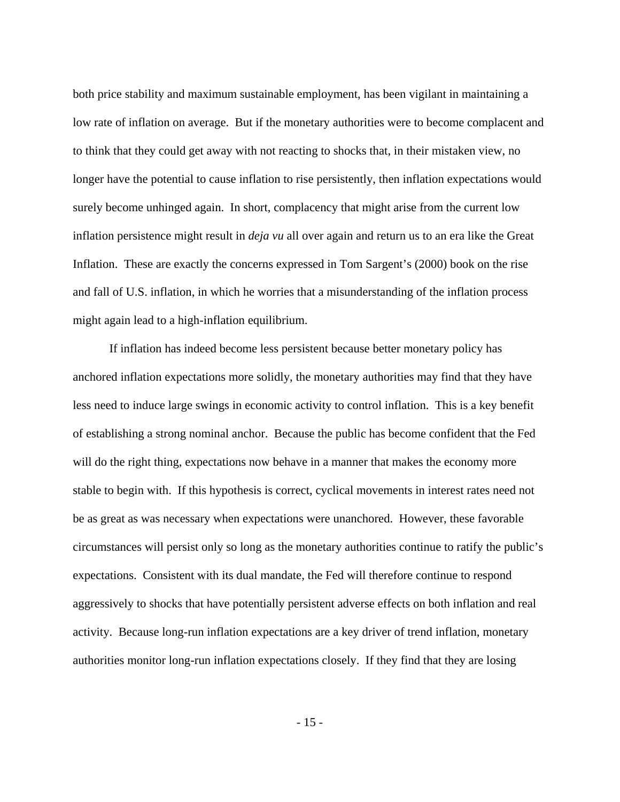both price stability and maximum sustainable employment, has been vigilant in maintaining a low rate of inflation on average. But if the monetary authorities were to become complacent and to think that they could get away with not reacting to shocks that, in their mistaken view, no longer have the potential to cause inflation to rise persistently, then inflation expectations would surely become unhinged again. In short, complacency that might arise from the current low inflation persistence might result in *deja vu* all over again and return us to an era like the Great Inflation. These are exactly the concerns expressed in Tom Sargent's (2000) book on the rise and fall of U.S. inflation, in which he worries that a misunderstanding of the inflation process might again lead to a high-inflation equilibrium.

If inflation has indeed become less persistent because better monetary policy has anchored inflation expectations more solidly, the monetary authorities may find that they have less need to induce large swings in economic activity to control inflation. This is a key benefit of establishing a strong nominal anchor. Because the public has become confident that the Fed will do the right thing, expectations now behave in a manner that makes the economy more stable to begin with. If this hypothesis is correct, cyclical movements in interest rates need not be as great as was necessary when expectations were unanchored. However, these favorable circumstances will persist only so long as the monetary authorities continue to ratify the public's expectations. Consistent with its dual mandate, the Fed will therefore continue to respond aggressively to shocks that have potentially persistent adverse effects on both inflation and real activity. Because long-run inflation expectations are a key driver of trend inflation, monetary authorities monitor long-run inflation expectations closely. If they find that they are losing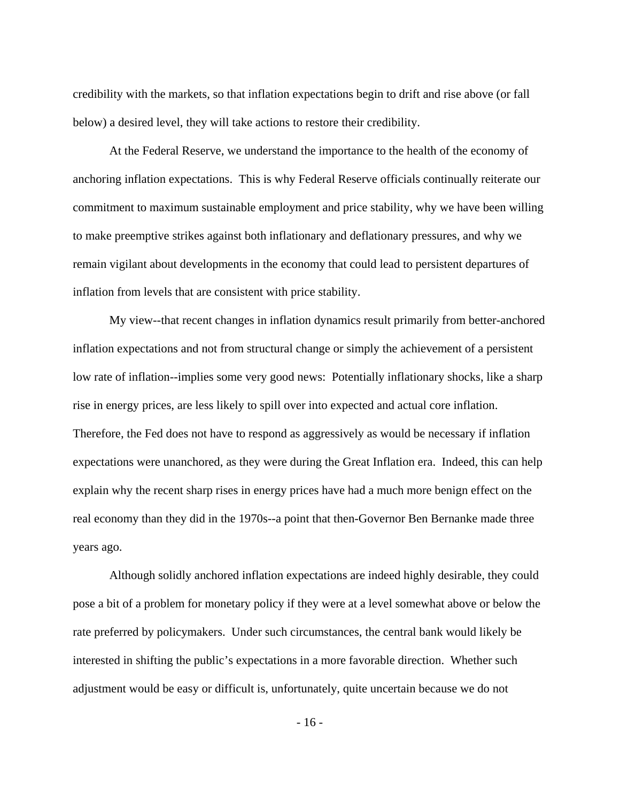credibility with the markets, so that inflation expectations begin to drift and rise above (or fall below) a desired level, they will take actions to restore their credibility.

At the Federal Reserve, we understand the importance to the health of the economy of anchoring inflation expectations. This is why Federal Reserve officials continually reiterate our commitment to maximum sustainable employment and price stability, why we have been willing to make preemptive strikes against both inflationary and deflationary pressures, and why we remain vigilant about developments in the economy that could lead to persistent departures of inflation from levels that are consistent with price stability.

My view--that recent changes in inflation dynamics result primarily from better-anchored inflation expectations and not from structural change or simply the achievement of a persistent low rate of inflation--implies some very good news: Potentially inflationary shocks, like a sharp rise in energy prices, are less likely to spill over into expected and actual core inflation. Therefore, the Fed does not have to respond as aggressively as would be necessary if inflation expectations were unanchored, as they were during the Great Inflation era. Indeed, this can help explain why the recent sharp rises in energy prices have had a much more benign effect on the real economy than they did in the 1970s--a point that then-Governor Ben Bernanke made three years ago.

Although solidly anchored inflation expectations are indeed highly desirable, they could pose a bit of a problem for monetary policy if they were at a level somewhat above or below the rate preferred by policymakers. Under such circumstances, the central bank would likely be interested in shifting the public's expectations in a more favorable direction. Whether such adjustment would be easy or difficult is, unfortunately, quite uncertain because we do not

- 16 -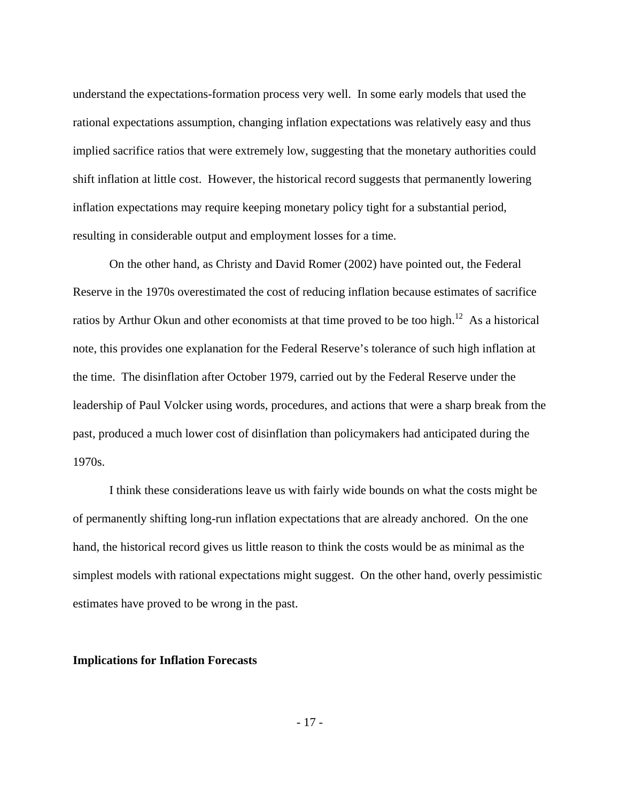understand the expectations-formation process very well. In some early models that used the rational expectations assumption, changing inflation expectations was relatively easy and thus implied sacrifice ratios that were extremely low, suggesting that the monetary authorities could shift inflation at little cost. However, the historical record suggests that permanently lowering inflation expectations may require keeping monetary policy tight for a substantial period, resulting in considerable output and employment losses for a time.

On the other hand, as Christy and David Romer (2002) have pointed out, the Federal Reserve in the 1970s overestimated the cost of reducing inflation because estimates of sacrifice ratios by Arthur Okun and other economists at that time proved to be too high.<sup>12</sup> As a historical note, this provides one explanation for the Federal Reserve's tolerance of such high inflation at the time. The disinflation after October 1979, carried out by the Federal Reserve under the leadership of Paul Volcker using words, procedures, and actions that were a sharp break from the past, produced a much lower cost of disinflation than policymakers had anticipated during the 1970s.

I think these considerations leave us with fairly wide bounds on what the costs might be of permanently shifting long-run inflation expectations that are already anchored. On the one hand, the historical record gives us little reason to think the costs would be as minimal as the simplest models with rational expectations might suggest. On the other hand, overly pessimistic estimates have proved to be wrong in the past.

#### **Implications for Inflation Forecasts**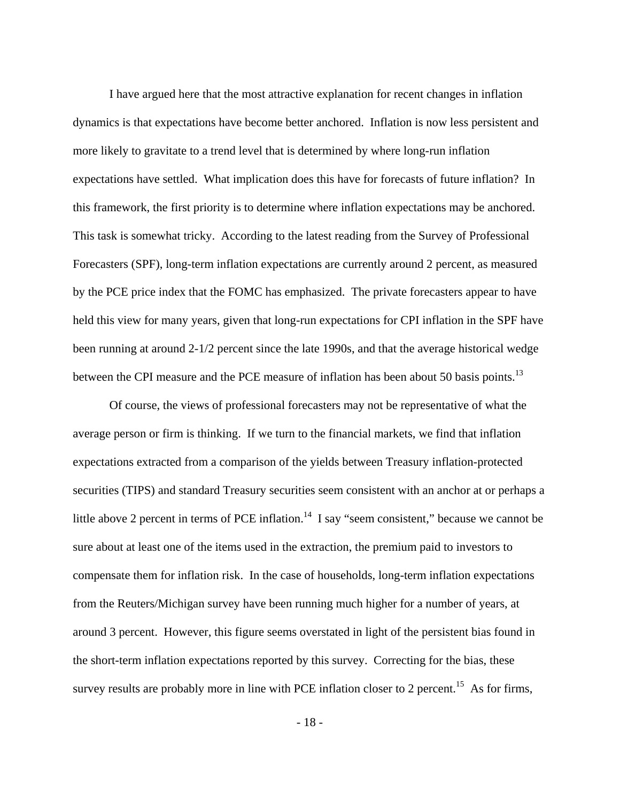I have argued here that the most attractive explanation for recent changes in inflation dynamics is that expectations have become better anchored. Inflation is now less persistent and more likely to gravitate to a trend level that is determined by where long-run inflation expectations have settled. What implication does this have for forecasts of future inflation? In this framework, the first priority is to determine where inflation expectations may be anchored. This task is somewhat tricky. According to the latest reading from the Survey of Professional Forecasters (SPF), long-term inflation expectations are currently around 2 percent, as measured by the PCE price index that the FOMC has emphasized. The private forecasters appear to have held this view for many years, given that long-run expectations for CPI inflation in the SPF have been running at around 2-1/2 percent since the late 1990s, and that the average historical wedge between the CPI measure and the PCE measure of inflation has been about 50 basis points.<sup>13</sup>

Of course, the views of professional forecasters may not be representative of what the average person or firm is thinking. If we turn to the financial markets, we find that inflation expectations extracted from a comparison of the yields between Treasury inflation-protected securities (TIPS) and standard Treasury securities seem consistent with an anchor at or perhaps a little above 2 percent in terms of PCE inflation.<sup>14</sup> I say "seem consistent," because we cannot be sure about at least one of the items used in the extraction, the premium paid to investors to compensate them for inflation risk. In the case of households, long-term inflation expectations from the Reuters/Michigan survey have been running much higher for a number of years, at around 3 percent. However, this figure seems overstated in light of the persistent bias found in the short-term inflation expectations reported by this survey. Correcting for the bias, these survey results are probably more in line with PCE inflation closer to 2 percent.<sup>15</sup> As for firms,

- 18 -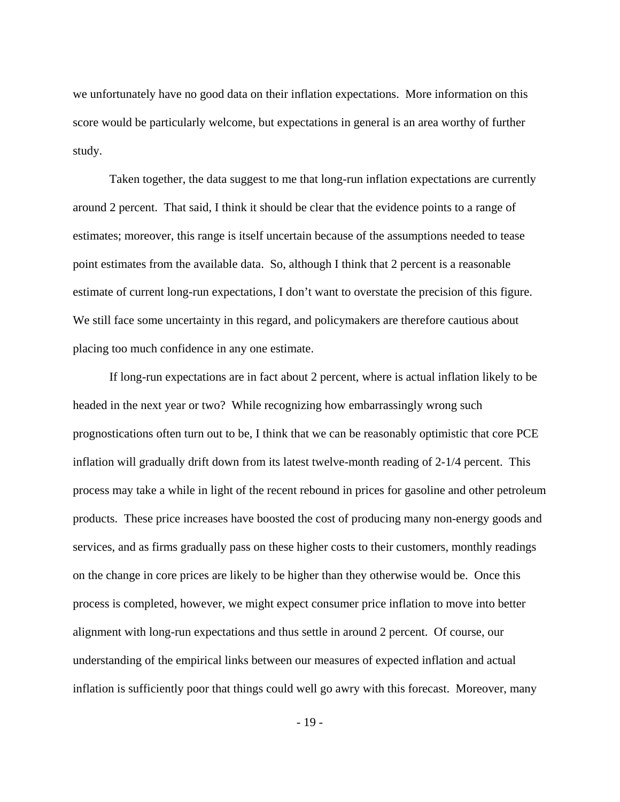we unfortunately have no good data on their inflation expectations. More information on this score would be particularly welcome, but expectations in general is an area worthy of further study.

Taken together, the data suggest to me that long-run inflation expectations are currently around 2 percent. That said, I think it should be clear that the evidence points to a range of estimates; moreover, this range is itself uncertain because of the assumptions needed to tease point estimates from the available data. So, although I think that 2 percent is a reasonable estimate of current long-run expectations, I don't want to overstate the precision of this figure. We still face some uncertainty in this regard, and policymakers are therefore cautious about placing too much confidence in any one estimate.

If long-run expectations are in fact about 2 percent, where is actual inflation likely to be headed in the next year or two? While recognizing how embarrassingly wrong such prognostications often turn out to be, I think that we can be reasonably optimistic that core PCE inflation will gradually drift down from its latest twelve-month reading of 2-1/4 percent. This process may take a while in light of the recent rebound in prices for gasoline and other petroleum products. These price increases have boosted the cost of producing many non-energy goods and services, and as firms gradually pass on these higher costs to their customers, monthly readings on the change in core prices are likely to be higher than they otherwise would be. Once this process is completed, however, we might expect consumer price inflation to move into better alignment with long-run expectations and thus settle in around 2 percent. Of course, our understanding of the empirical links between our measures of expected inflation and actual inflation is sufficiently poor that things could well go awry with this forecast. Moreover, many

- 19 -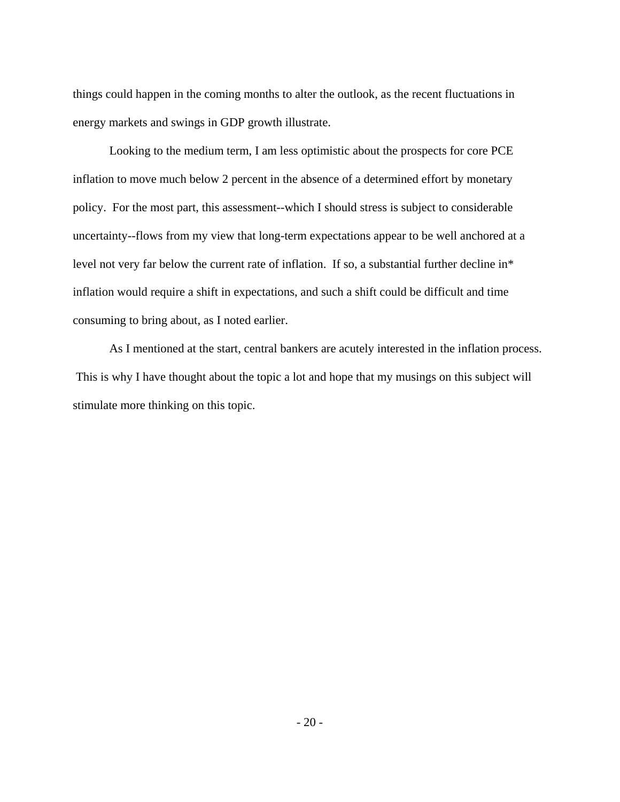things could happen in the coming months to alter the outlook, as the recent fluctuations in energy markets and swings in GDP growth illustrate.

Looking to the medium term, I am less optimistic about the prospects for core PCE inflation to move much below 2 percent in the absence of a determined effort by monetary policy. For the most part, this assessment--which I should stress is subject to considerable uncertainty--flows from my view that long-term expectations appear to be well anchored at a level not very far below the current rate of inflation. If so, a substantial further decline in\* inflation would require a shift in expectations, and such a shift could be difficult and time consuming to bring about, as I noted earlier.

As I mentioned at the start, central bankers are acutely interested in the inflation process. This is why I have thought about the topic a lot and hope that my musings on this subject will stimulate more thinking on this topic.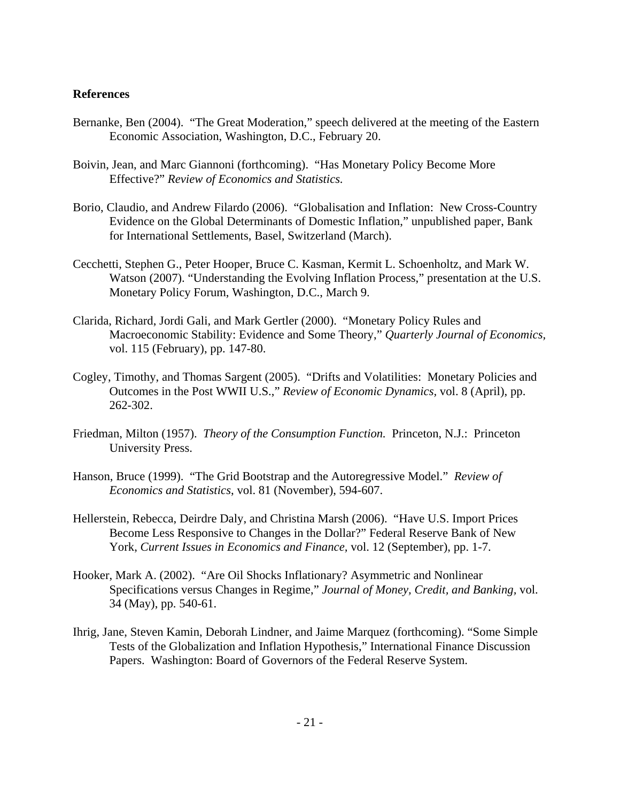# **References**

- Bernanke, Ben (2004). "The Great Moderation," speech delivered at the meeting of the Eastern Economic Association, Washington, D.C., February 20.
- Boivin, Jean, and Marc Giannoni (forthcoming). "Has Monetary Policy Become More Effective?" *Review of Economics and Statistics.*
- Borio, Claudio, and Andrew Filardo (2006). "Globalisation and Inflation: New Cross-Country Evidence on the Global Determinants of Domestic Inflation," unpublished paper, Bank for International Settlements, Basel, Switzerland (March).
- Cecchetti, Stephen G., Peter Hooper, Bruce C. Kasman, Kermit L. Schoenholtz, and Mark W. Watson (2007). "Understanding the Evolving Inflation Process," presentation at the U.S. Monetary Policy Forum, Washington, D.C., March 9.
- Clarida, Richard, Jordi Gali, and Mark Gertler (2000). "Monetary Policy Rules and Macroeconomic Stability: Evidence and Some Theory," *Quarterly Journal of Economics,* vol. 115 (February), pp. 147-80.
- Cogley, Timothy, and Thomas Sargent (2005). "Drifts and Volatilities: Monetary Policies and Outcomes in the Post WWII U.S.," *Review of Economic Dynamics,* vol. 8 (April), pp. 262-302.
- Friedman, Milton (1957). *Theory of the Consumption Function.* Princeton, N.J.: Princeton University Press.
- Hanson, Bruce (1999). "The Grid Bootstrap and the Autoregressive Model." *Review of Economics and Statistics*, vol. 81 (November), 594-607.
- Hellerstein, Rebecca, Deirdre Daly, and Christina Marsh (2006). "Have U.S. Import Prices Become Less Responsive to Changes in the Dollar?" Federal Reserve Bank of New York, *Current Issues in Economics and Finance,* vol. 12 (September), pp. 1-7.
- Hooker, Mark A. (2002). "Are Oil Shocks Inflationary? Asymmetric and Nonlinear Specifications versus Changes in Regime," *Journal of Money, Credit, and Banking,* vol. 34 (May), pp. 540-61.
- Ihrig, Jane, Steven Kamin, Deborah Lindner, and Jaime Marquez (forthcoming). "Some Simple Tests of the Globalization and Inflation Hypothesis," International Finance Discussion Papers. Washington: Board of Governors of the Federal Reserve System.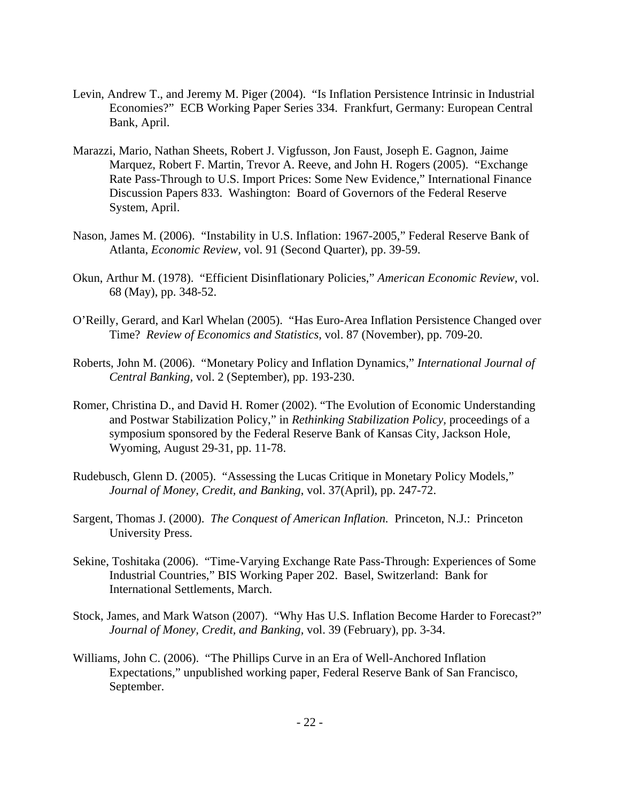- Levin, Andrew T., and Jeremy M. Piger (2004). "Is Inflation Persistence Intrinsic in Industrial Economies?" ECB Working Paper Series 334. Frankfurt, Germany: European Central Bank, April.
- Marazzi, Mario, Nathan Sheets, Robert J. Vigfusson, Jon Faust, Joseph E. Gagnon, Jaime Marquez, Robert F. Martin, Trevor A. Reeve, and John H. Rogers (2005). "Exchange Rate Pass-Through to U.S. Import Prices: Some New Evidence," International Finance Discussion Papers 833. Washington: Board of Governors of the Federal Reserve System, April.
- Nason, James M. (2006). "Instability in U.S. Inflation: 1967-2005," Federal Reserve Bank of Atlanta, *Economic Review,* vol. 91 (Second Quarter), pp. 39-59.
- Okun, Arthur M. (1978). "Efficient Disinflationary Policies," *American Economic Review,* vol. 68 (May), pp. 348-52.
- O'Reilly, Gerard, and Karl Whelan (2005). "Has Euro-Area Inflation Persistence Changed over Time? *Review of Economics and Statistics,* vol. 87 (November), pp. 709-20.
- Roberts, John M. (2006). "Monetary Policy and Inflation Dynamics," *International Journal of Central Banking,* vol. 2 (September), pp. 193-230.
- Romer, Christina D., and David H. Romer (2002). "The Evolution of Economic Understanding and Postwar Stabilization Policy," in *Rethinking Stabilization Policy,* proceedings of a symposium sponsored by the Federal Reserve Bank of Kansas City, Jackson Hole, Wyoming, August 29-31, pp. 11-78.
- Rudebusch, Glenn D. (2005). "Assessing the Lucas Critique in Monetary Policy Models," *Journal of Money, Credit, and Banking*, vol. 37(April), pp. 247-72.
- Sargent, Thomas J. (2000). *The Conquest of American Inflation.* Princeton, N.J.: Princeton University Press.
- Sekine, Toshitaka (2006). "Time-Varying Exchange Rate Pass-Through: Experiences of Some Industrial Countries," BIS Working Paper 202. Basel, Switzerland: Bank for International Settlements, March.
- Stock, James, and Mark Watson (2007). "Why Has U.S. Inflation Become Harder to Forecast?" *Journal of Money, Credit, and Banking,* vol. 39 (February), pp. 3-34.
- Williams, John C. (2006). "The Phillips Curve in an Era of Well-Anchored Inflation Expectations," unpublished working paper, Federal Reserve Bank of San Francisco, September.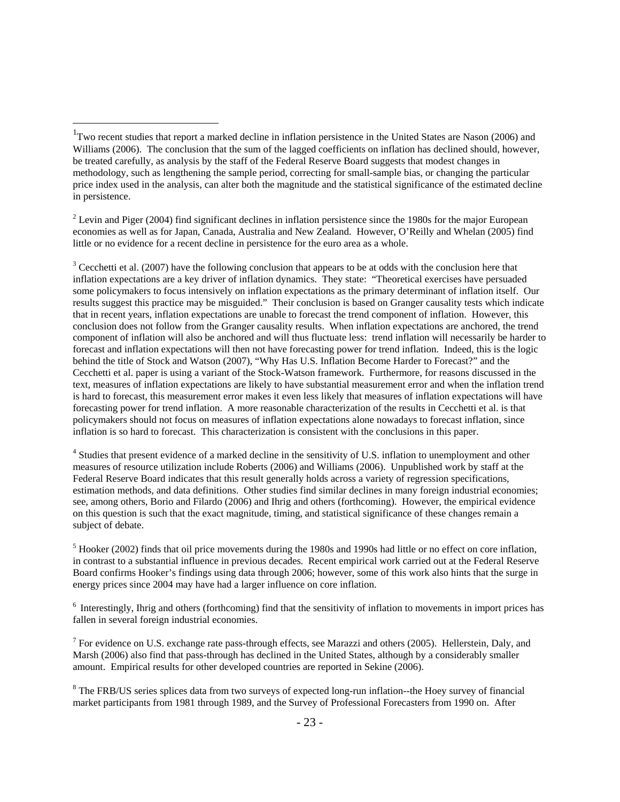1

 $2^2$  Levin and Piger (2004) find significant declines in inflation persistence since the 1980s for the major European economies as well as for Japan, Canada, Australia and New Zealand. However, O'Reilly and Whelan (2005) find little or no evidence for a recent decline in persistence for the euro area as a whole.

 $3$  Cecchetti et al. (2007) have the following conclusion that appears to be at odds with the conclusion here that inflation expectations are a key driver of inflation dynamics. They state: "Theoretical exercises have persuaded some policymakers to focus intensively on inflation expectations as the primary determinant of inflation itself. Our results suggest this practice may be misguided." Their conclusion is based on Granger causality tests which indicate that in recent years, inflation expectations are unable to forecast the trend component of inflation. However, this conclusion does not follow from the Granger causality results. When inflation expectations are anchored, the trend component of inflation will also be anchored and will thus fluctuate less: trend inflation will necessarily be harder to forecast and inflation expectations will then not have forecasting power for trend inflation. Indeed, this is the logic behind the title of Stock and Watson (2007), "Why Has U.S. Inflation Become Harder to Forecast?" and the Cecchetti et al. paper is using a variant of the Stock-Watson framework. Furthermore, for reasons discussed in the text, measures of inflation expectations are likely to have substantial measurement error and when the inflation trend is hard to forecast, this measurement error makes it even less likely that measures of inflation expectations will have forecasting power for trend inflation. A more reasonable characterization of the results in Cecchetti et al. is that policymakers should not focus on measures of inflation expectations alone nowadays to forecast inflation, since inflation is so hard to forecast. This characterization is consistent with the conclusions in this paper.

<sup>4</sup> Studies that present evidence of a marked decline in the sensitivity of U.S. inflation to unemployment and other measures of resource utilization include Roberts (2006) and Williams (2006). Unpublished work by staff at the Federal Reserve Board indicates that this result generally holds across a variety of regression specifications, estimation methods, and data definitions. Other studies find similar declines in many foreign industrial economies; see, among others, Borio and Filardo (2006) and Ihrig and others (forthcoming). However, the empirical evidence on this question is such that the exact magnitude, timing, and statistical significance of these changes remain a subject of debate.

 $<sup>5</sup>$  Hooker (2002) finds that oil price movements during the 1980s and 1990s had little or no effect on core inflation,</sup> in contrast to a substantial influence in previous decades. Recent empirical work carried out at the Federal Reserve Board confirms Hooker's findings using data through 2006; however, some of this work also hints that the surge in energy prices since 2004 may have had a larger influence on core inflation.

<sup>6</sup> Interestingly, Ihrig and others (forthcoming) find that the sensitivity of inflation to movements in import prices has fallen in several foreign industrial economies.

<sup>7</sup> For evidence on U.S. exchange rate pass-through effects, see Marazzi and others (2005). Hellerstein, Daly, and Marsh (2006) also find that pass-through has declined in the United States, although by a considerably smaller amount. Empirical results for other developed countries are reported in Sekine (2006).

<sup>8</sup> The FRB/US series splices data from two surveys of expected long-run inflation--the Hoey survey of financial market participants from 1981 through 1989, and the Survey of Professional Forecasters from 1990 on. After

<sup>&</sup>lt;sup>1</sup>Two recent studies that report a marked decline in inflation persistence in the United States are Nason (2006) and Williams (2006). The conclusion that the sum of the lagged coefficients on inflation has declined should, however, be treated carefully, as analysis by the staff of the Federal Reserve Board suggests that modest changes in methodology, such as lengthening the sample period, correcting for small-sample bias, or changing the particular price index used in the analysis, can alter both the magnitude and the statistical significance of the estimated decline in persistence.